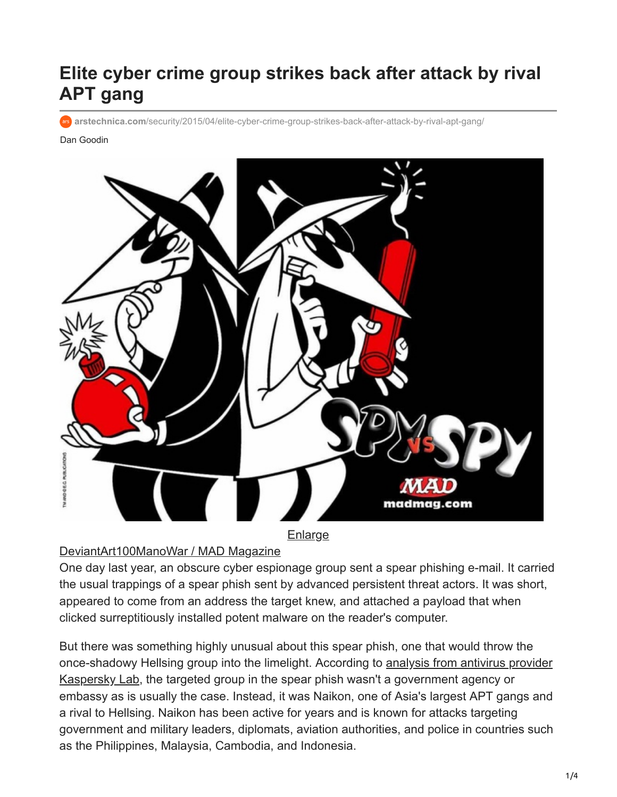# **Elite cyber crime group strikes back after attack by rival APT gang**

**arstechnica.com**[/security/2015/04/elite-cyber-crime-group-strikes-back-after-attack-by-rival-apt-gang/](http://arstechnica.com/security/2015/04/elite-cyber-crime-group-strikes-back-after-attack-by-rival-apt-gang/)

Dan Goodin



#### **[Enlarge](https://cdn.arstechnica.net/wp-content/uploads/2015/04/spy-vs-spy.jpg)**

#### [DeviantArt100ManoWar / MAD Magazine](http://www.google.com/url?sa=i&rct=j&q=&esrc=s&source=images&cd=&cad=rja&uact=8&ved=0CAYQjB0&url=http%3A%2F%2Fmanowar100.deviantart.com%2Fart%2FMy-version-202559097&ei=DtstVeLWEMPqoATPioHoAg&psig=AFQjCNFjRIFQ_fcnIokvwQbkhOYyNG6tTw&ust=1429154949987167)

One day last year, an obscure cyber espionage group sent a spear phishing e-mail. It carried the usual trappings of a spear phish sent by advanced persistent threat actors. It was short, appeared to come from an address the target knew, and attached a payload that when clicked surreptitiously installed potent malware on the reader's computer.

But there was something highly unusual about this spear phish, one that would throw the [once-shadowy Hellsing group into the limelight. According to analysis from antivirus provider](https://securelist.com/analysis/publications/69567/the-chronicles-of-the-hellsing-apt-the-empire-strikes-back/) Kaspersky Lab, the targeted group in the spear phish wasn't a government agency or embassy as is usually the case. Instead, it was Naikon, one of Asia's largest APT gangs and a rival to Hellsing. Naikon has been active for years and is known for attacks targeting government and military leaders, diplomats, aviation authorities, and police in countries such as the Philippines, Malaysia, Cambodia, and Indonesia.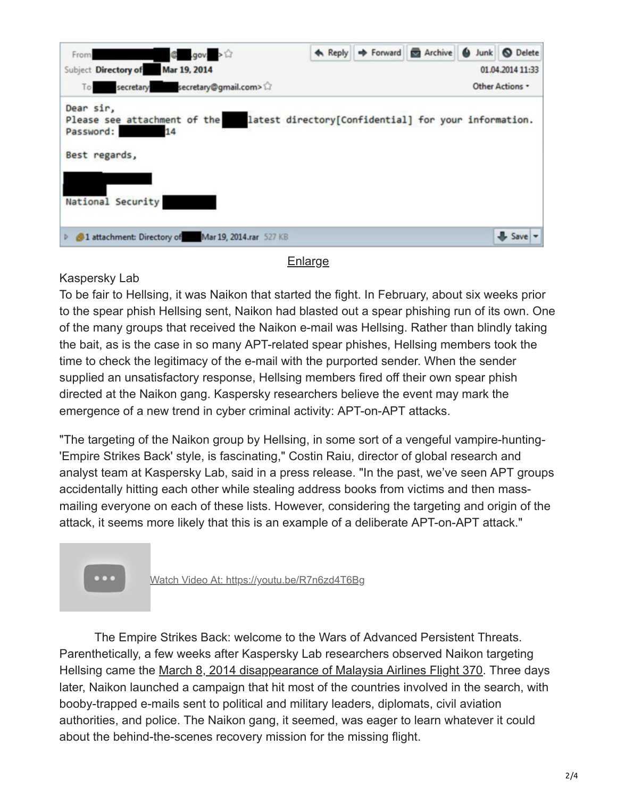| $\mathbb{C}$ .gov. ><br>From                                                                                                                               |  | ← Reply → Forward <b>E</b> Archive ● Junk ● Delete |  |  |      |  |  |  |  |  |  |
|------------------------------------------------------------------------------------------------------------------------------------------------------------|--|----------------------------------------------------|--|--|------|--|--|--|--|--|--|
| Mar 19, 2014<br>Subject Directory of<br>01.04.2014 11:33                                                                                                   |  |                                                    |  |  |      |  |  |  |  |  |  |
| To secretary secretary@gmail.com><br>Other Actions *                                                                                                       |  |                                                    |  |  |      |  |  |  |  |  |  |
| Dear sir,<br>latest directory[Confidential] for your information.<br>Please see attachment of the<br>Password:<br>14<br>Best regards,<br>National Security |  |                                                    |  |  |      |  |  |  |  |  |  |
| D 2014.rar 527 KB                                                                                                                                          |  |                                                    |  |  | Save |  |  |  |  |  |  |

#### [Enlarge](https://cdn.arstechnica.net/wp-content/uploads/2015/04/hellsing-spear-phish.png)

### Kaspersky Lab

To be fair to Hellsing, it was Naikon that started the fight. In February, about six weeks prior to the spear phish Hellsing sent, Naikon had blasted out a spear phishing run of its own. One of the many groups that received the Naikon e-mail was Hellsing. Rather than blindly taking the bait, as is the case in so many APT-related spear phishes, Hellsing members took the time to check the legitimacy of the e-mail with the purported sender. When the sender supplied an unsatisfactory response, Hellsing members fired off their own spear phish directed at the Naikon gang. Kaspersky researchers believe the event may mark the emergence of a new trend in cyber criminal activity: APT-on-APT attacks.

"The targeting of the Naikon group by Hellsing, in some sort of a vengeful vampire-hunting- 'Empire Strikes Back' style, is fascinating," Costin Raiu, director of global research and analyst team at Kaspersky Lab, said in a press release. "In the past, we've seen APT groups accidentally hitting each other while stealing address books from victims and then massmailing everyone on each of these lists. However, considering the targeting and origin of the attack, it seems more likely that this is an example of a deliberate APT-on-APT attack."



Watch Video At: <https://youtu.be/R7n6zd4T6Bg>

The Empire Strikes Back: welcome to the Wars of Advanced Persistent Threats. Parenthetically, a few weeks after Kaspersky Lab researchers observed Naikon targeting Hellsing came the [March 8, 2014 disappearance of Malaysia Airlines Flight 370](https://en.wikipedia.org/wiki/Malaysia_Airlines_Flight_370). Three days later, Naikon launched a campaign that hit most of the countries involved in the search, with booby-trapped e-mails sent to political and military leaders, diplomats, civil aviation authorities, and police. The Naikon gang, it seemed, was eager to learn whatever it could about the behind-the-scenes recovery mission for the missing flight.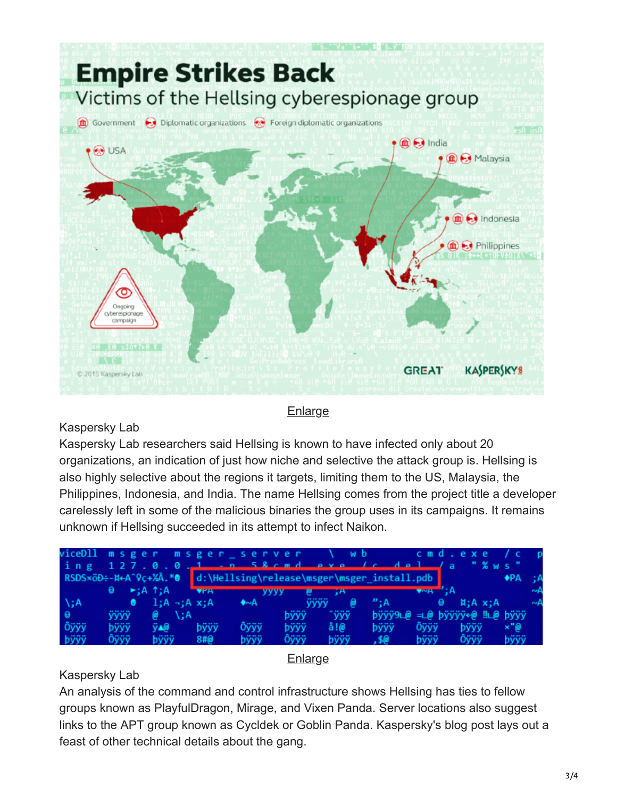

#### [Enlarge](https://cdn.arstechnica.net/wp-content/uploads/2015/04/hellsing-map.png)

# Kaspersky Lab

Kaspersky Lab researchers said Hellsing is known to have infected only about 20 organizations, an indication of just how niche and selective the attack group is. Hellsing is also highly selective about the regions it targets, limiting them to the US, Malaysia, the Philippines, Indonesia, and India. The name Hellsing comes from the project title a developer carelessly left in some of the malicious binaries the group uses in its campaigns. It remains unknown if Hellsing succeeded in its attempt to infect Naikon.

|              |      |          |      |                                                                                                                                                                                                                                                                                                                                                                                                                                                                                                 |             | viceD11 msger msger_server \wb cmd.exe /c                         |                                                                                              |                                                |            |             |               |     |
|--------------|------|----------|------|-------------------------------------------------------------------------------------------------------------------------------------------------------------------------------------------------------------------------------------------------------------------------------------------------------------------------------------------------------------------------------------------------------------------------------------------------------------------------------------------------|-------------|-------------------------------------------------------------------|----------------------------------------------------------------------------------------------|------------------------------------------------|------------|-------------|---------------|-----|
|              |      |          |      |                                                                                                                                                                                                                                                                                                                                                                                                                                                                                                 |             | ing 127.0.0.1 - n 58 cmd eve /c del /a "% ws"                     |                                                                                              |                                                |            |             |               |     |
|              |      |          |      |                                                                                                                                                                                                                                                                                                                                                                                                                                                                                                 |             | RSDSxöD÷-N←A^Qc+%Å.*@ d:\Hellsing\release\msger\msger_install.pdb |                                                                                              |                                                |            |             | $\bigstar$ PA | ∹:A |
|              |      |          |      | $\theta$ $\blacktriangleright$ ;A <sup>†</sup> ;A $\blacksquare$ $\blacksquare$ $\blacksquare$ $\blacksquare$ $\blacksquare$ $\blacksquare$ $\blacksquare$ $\blacksquare$ $\blacksquare$ $\blacksquare$ $\blacksquare$ $\blacksquare$ $\blacksquare$ $\blacksquare$ $\blacksquare$ $\blacksquare$ $\blacksquare$ $\blacksquare$ $\blacksquare$ $\blacksquare$ $\blacksquare$ $\blacksquare$ $\blacksquare$ $\blacksquare$ $\blacksquare$ $\blacksquare$ $\blacksquare$ $\blacksquare$ $\blacks$ |             |                                                                   |                                                                                              | $\bullet \sim A$ $\bullet$ $\bullet$ $\bullet$ |            |             |               |     |
| $\lambda$ ;A |      |          |      | $\theta$ 1;A -;A x;A $\leftrightarrow$ A                                                                                                                                                                                                                                                                                                                                                                                                                                                        |             | ⋒<br><b>YYYY</b>                                                  | $\mathbf{B}$ ; A                                                                             |                                                | $\theta$ . | H; A x; A   |               |     |
| $\Theta$     | ўўўў | - 6∂ \:A |      |                                                                                                                                                                                                                                                                                                                                                                                                                                                                                                 | bÿÿÿ        | ^ÿÿÿ                                                              | $b\ddot{y}\ddot{y}$ 9L@ =L@ $b\ddot{y}\ddot{y}\ddot{y}\dot{y}$ e@ $\ddot{y}\ddot{y}\ddot{y}$ |                                                |            |             |               |     |
| Ôÿÿÿ         | bÿÿÿ | ÿ∡@      | bÿÿÿ | Ôÿÿÿ                                                                                                                                                                                                                                                                                                                                                                                                                                                                                            | <b>byyy</b> | å!@                                                               | <b>b</b> yyy                                                                                 | Ôÿÿÿ                                           |            | <b>bÿÿy</b> | ×"@           |     |
| bÿÿÿ         | Ôÿÿÿ | bÿÿÿ     | 8#0  | bÿÿÿ                                                                                                                                                                                                                                                                                                                                                                                                                                                                                            | Ôÿÿÿ        | bÿÿÿ                                                              | - 30.                                                                                        | bÿÿÿ                                           |            | Öÿÿÿ        | bÿÿÿ          |     |

#### **[Enlarge](https://cdn.arstechnica.net/wp-content/uploads/2015/04/hellsing-debug.png)**

# Kaspersky Lab

An analysis of the command and control infrastructure shows Hellsing has ties to fellow groups known as PlayfulDragon, Mirage, and Vixen Panda. Server locations also suggest links to the APT group known as Cycldek or Goblin Panda. Kaspersky's blog post lays out a feast of other technical details about the gang.